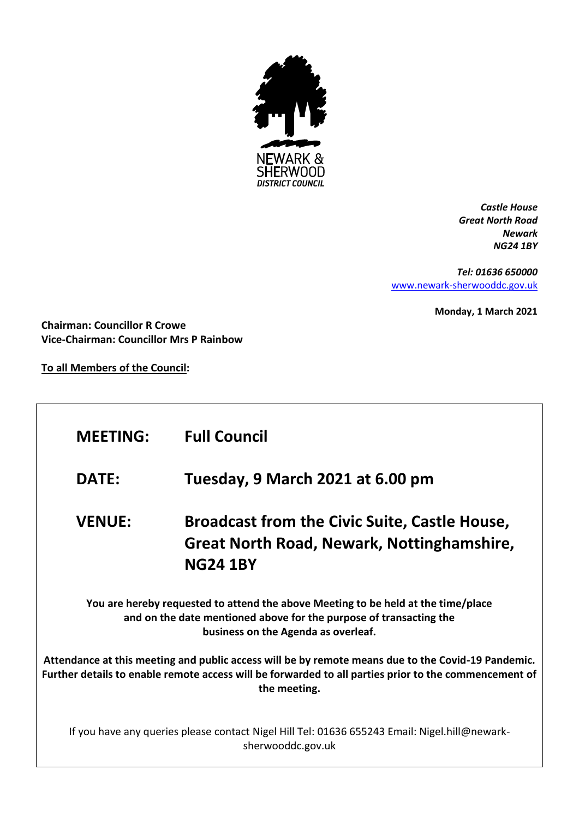

*Castle House Great North Road Newark NG24 1BY*

*Tel: 01636 650000* [www.newark-sherwooddc.gov.uk](http://www.newark-sherwooddc.gov.uk/)

**Monday, 1 March 2021**

**Chairman: Councillor R Crowe Vice-Chairman: Councillor Mrs P Rainbow**

**To all Members of the Council:**

| <b>MEETING:</b>                                                                                                                                                                                                             | <b>Full Council</b>                                                                                                   |  |  |
|-----------------------------------------------------------------------------------------------------------------------------------------------------------------------------------------------------------------------------|-----------------------------------------------------------------------------------------------------------------------|--|--|
| <b>DATE:</b>                                                                                                                                                                                                                | Tuesday, 9 March 2021 at 6.00 pm                                                                                      |  |  |
| <b>VENUE:</b>                                                                                                                                                                                                               | <b>Broadcast from the Civic Suite, Castle House,</b><br>Great North Road, Newark, Nottinghamshire,<br><b>NG24 1BY</b> |  |  |
| You are hereby requested to attend the above Meeting to be held at the time/place<br>and on the date mentioned above for the purpose of transacting the<br>business on the Agenda as overleaf.                              |                                                                                                                       |  |  |
| Attendance at this meeting and public access will be by remote means due to the Covid-19 Pandemic.<br>Further details to enable remote access will be forwarded to all parties prior to the commencement of<br>the meeting. |                                                                                                                       |  |  |
| If you have any queries please contact Nigel Hill Tel: 01636 655243 Email: Nigel.hill@newark-<br>sherwooddc.gov.uk                                                                                                          |                                                                                                                       |  |  |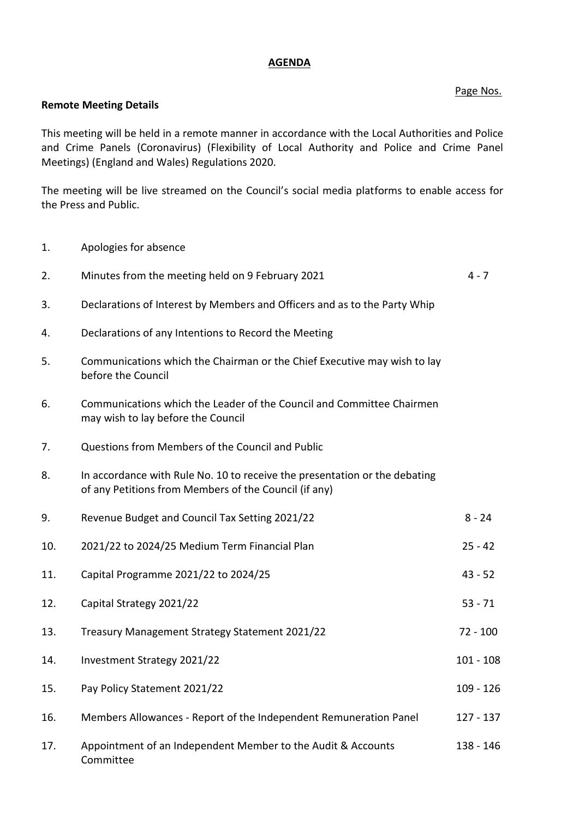## **AGENDA**

## Page Nos.

## **Remote Meeting Details**

This meeting will be held in a remote manner in accordance with the Local Authorities and Police and Crime Panels (Coronavirus) (Flexibility of Local Authority and Police and Crime Panel Meetings) (England and Wales) Regulations 2020.

The meeting will be live streamed on the Council's social media platforms to enable access for the Press and Public.

1. Apologies for absence

| 2.  | Minutes from the meeting held on 9 February 2021                                                                                    | $4 - 7$     |
|-----|-------------------------------------------------------------------------------------------------------------------------------------|-------------|
| 3.  | Declarations of Interest by Members and Officers and as to the Party Whip                                                           |             |
| 4.  | Declarations of any Intentions to Record the Meeting                                                                                |             |
| 5.  | Communications which the Chairman or the Chief Executive may wish to lay<br>before the Council                                      |             |
| 6.  | Communications which the Leader of the Council and Committee Chairmen<br>may wish to lay before the Council                         |             |
| 7.  | Questions from Members of the Council and Public                                                                                    |             |
| 8.  | In accordance with Rule No. 10 to receive the presentation or the debating<br>of any Petitions from Members of the Council (if any) |             |
| 9.  | Revenue Budget and Council Tax Setting 2021/22                                                                                      | $8 - 24$    |
| 10. | 2021/22 to 2024/25 Medium Term Financial Plan                                                                                       | $25 - 42$   |
| 11. | Capital Programme 2021/22 to 2024/25                                                                                                | $43 - 52$   |
| 12. | Capital Strategy 2021/22                                                                                                            | $53 - 71$   |
| 13. | Treasury Management Strategy Statement 2021/22                                                                                      | $72 - 100$  |
| 14. | Investment Strategy 2021/22                                                                                                         | $101 - 108$ |
| 15. | Pay Policy Statement 2021/22                                                                                                        | $109 - 126$ |
| 16. | Members Allowances - Report of the Independent Remuneration Panel                                                                   | $127 - 137$ |
| 17. | Appointment of an Independent Member to the Audit & Accounts<br>Committee                                                           | 138 - 146   |